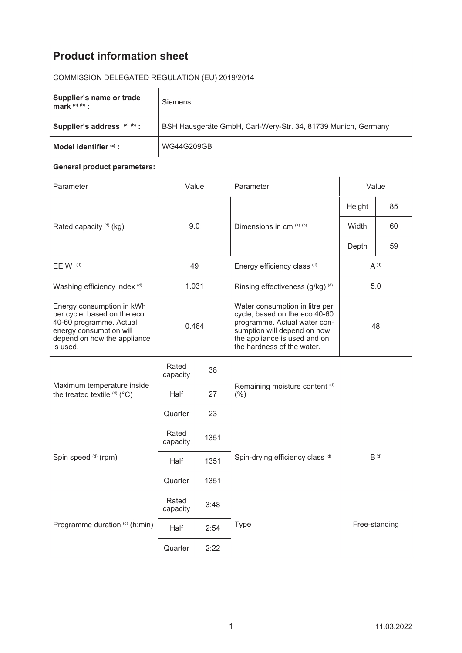| <b>Product information sheet</b>                                                                                                                          |                                                               |      |                                                                                                                                                                                              |           |    |  |  |  |
|-----------------------------------------------------------------------------------------------------------------------------------------------------------|---------------------------------------------------------------|------|----------------------------------------------------------------------------------------------------------------------------------------------------------------------------------------------|-----------|----|--|--|--|
| COMMISSION DELEGATED REGULATION (EU) 2019/2014                                                                                                            |                                                               |      |                                                                                                                                                                                              |           |    |  |  |  |
| Supplier's name or trade<br>mark $(a)$ $(b)$ :                                                                                                            | Siemens                                                       |      |                                                                                                                                                                                              |           |    |  |  |  |
| Supplier's address (a) (b) :                                                                                                                              | BSH Hausgeräte GmbH, Carl-Wery-Str. 34, 81739 Munich, Germany |      |                                                                                                                                                                                              |           |    |  |  |  |
| Model identifier (a) :                                                                                                                                    | WG44G209GB                                                    |      |                                                                                                                                                                                              |           |    |  |  |  |
| <b>General product parameters:</b>                                                                                                                        |                                                               |      |                                                                                                                                                                                              |           |    |  |  |  |
| Parameter                                                                                                                                                 | Value                                                         |      | Parameter                                                                                                                                                                                    | Value     |    |  |  |  |
| Rated capacity (d) (kg)                                                                                                                                   | 9.0                                                           |      | Dimensions in cm (a) (b)                                                                                                                                                                     | Height    | 85 |  |  |  |
|                                                                                                                                                           |                                                               |      |                                                                                                                                                                                              | Width     | 60 |  |  |  |
|                                                                                                                                                           |                                                               |      |                                                                                                                                                                                              | Depth     | 59 |  |  |  |
| EEIW <sup>(d)</sup>                                                                                                                                       | 49                                                            |      | Energy efficiency class (d)                                                                                                                                                                  | $A^{(d)}$ |    |  |  |  |
| Washing efficiency index (d)                                                                                                                              | 1.031                                                         |      | Rinsing effectiveness (g/kg) (d)                                                                                                                                                             | 5.0       |    |  |  |  |
| Energy consumption in kWh<br>per cycle, based on the eco<br>40-60 programme. Actual<br>energy consumption will<br>depend on how the appliance<br>is used. | 0.464                                                         |      | Water consumption in litre per<br>cycle, based on the eco 40-60<br>programme. Actual water con-<br>sumption will depend on how<br>the appliance is used and on<br>the hardness of the water. | 48        |    |  |  |  |
| Maximum temperature inside<br>the treated textile (d) (°C)                                                                                                | Rated<br>capacity                                             | 38   |                                                                                                                                                                                              |           |    |  |  |  |
|                                                                                                                                                           | Half                                                          | 27   | Remaining moisture content (d)<br>$(\% )$                                                                                                                                                    |           |    |  |  |  |
|                                                                                                                                                           | Quarter                                                       | 23   |                                                                                                                                                                                              |           |    |  |  |  |
| Spin speed (d) (rpm)                                                                                                                                      | Rated<br>capacity                                             | 1351 | $B^{(d)}$<br>Spin-drying efficiency class (d)                                                                                                                                                |           |    |  |  |  |
|                                                                                                                                                           | Half                                                          | 1351 |                                                                                                                                                                                              |           |    |  |  |  |
|                                                                                                                                                           | Quarter                                                       | 1351 |                                                                                                                                                                                              |           |    |  |  |  |
| Programme duration (d) (h:min)                                                                                                                            | Rated<br>capacity                                             | 3:48 | Type<br>Free-standing                                                                                                                                                                        |           |    |  |  |  |
|                                                                                                                                                           | Half                                                          | 2:54 |                                                                                                                                                                                              |           |    |  |  |  |
|                                                                                                                                                           | Quarter                                                       | 2:22 |                                                                                                                                                                                              |           |    |  |  |  |